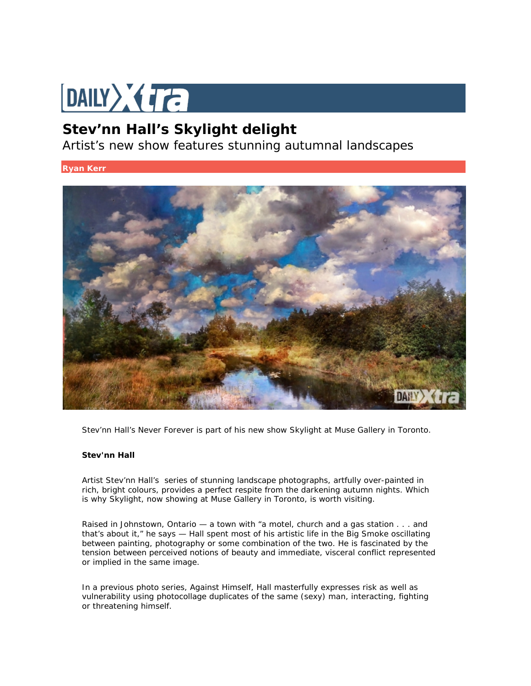## DAILY Ta

## **Stev'nn Hall's Skylight delight**

Artist's new show features stunning autumnal landscapes

**Ryan Kerr**



Stev'nn Hall's Never Forever is part of his new show Skylight at Muse Gallery in Toronto.

## **Stev'nn Hall**

Artist [Stev'nn](http://www.stevnnhall.com/mixed-media-2014.php) Hall's series of stunning landscape photographs, artfully over-painted in rich, bright colours, provides a perfect respite from the darkening autumn nights. Which is why *Skylight*, now showing at Muse Gallery in Toronto, is worth visiting.

Raised in Johnstown, Ontario — a town with "a motel, church and a gas station . . . and that's about it," he says — Hall spent most of his artistic life in the Big Smoke oscillating between painting, photography or some combination of the two. He is fascinated by the tension between perceived notions of beauty and immediate, visceral conflict represented or implied in the same image.

In a previous photo series, *Against Himself*, Hall masterfully expresses risk as well as vulnerability using photocollage duplicates of the same (sexy) man, interacting, fighting or threatening himself.